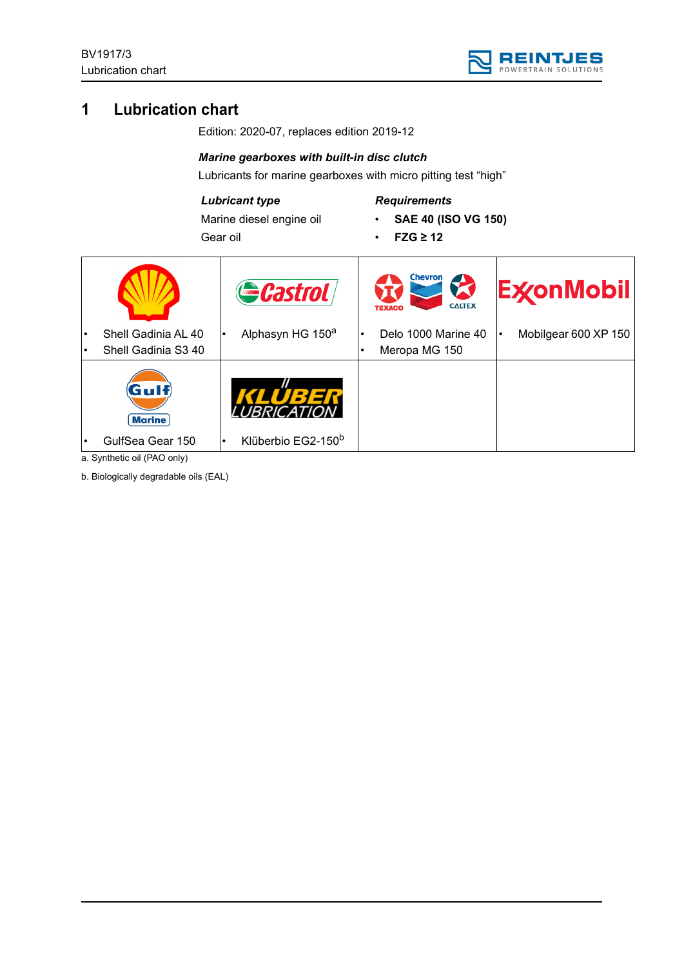

# **1 Lubrication chart**

Edition: 2020-07, replaces edition 2019-12

## *Marine gearboxes with built-in disc clutch*

Lubricants for marine gearboxes with micro pitting test "high"

## *Lubricant type*

Marine diesel engine oil Gear oil

# *Requirements*

- **SAE 40 (ISO VG 150)**
- **FZG ≥ 12**

|                         | Gastrol                                     |   | Chevron<br><b>CALTEX</b><br><b>TEXACO</b> | <b>ExconMobil</b>    |
|-------------------------|---------------------------------------------|---|-------------------------------------------|----------------------|
| Shell Gadinia AL 40     | Alphasyn HG 150 <sup>a</sup>                |   | Delo 1000 Marine 40                       | Mobilgear 600 XP 150 |
| Shell Gadinia S3 40     |                                             | ٠ | Meropa MG 150                             |                      |
| (Gulf)<br><b>Marine</b> |                                             |   |                                           |                      |
| GulfSea Gear 150        | Klüberbio EG2-150 <sup>b</sup><br>$\bullet$ |   |                                           |                      |

a. Synthetic oil (PAO only)

b. Biologically degradable oils (EAL)